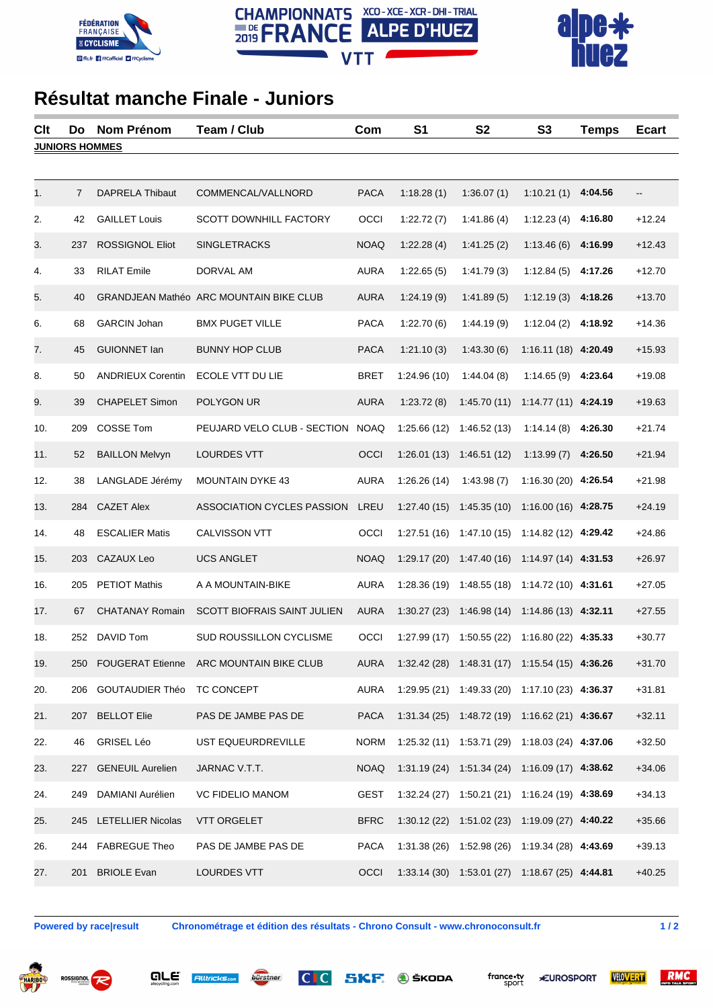





## **Résultat manche Finale - Juniors**

| Clt                   | Do             | <b>Nom Prénom</b>        | Team / Club                                    | Com         | S <sub>1</sub> | S <sub>2</sub>                                           | S <sub>3</sub>        | <b>Temps</b> | <b>Ecart</b> |  |  |
|-----------------------|----------------|--------------------------|------------------------------------------------|-------------|----------------|----------------------------------------------------------|-----------------------|--------------|--------------|--|--|
| <b>JUNIORS HOMMES</b> |                |                          |                                                |             |                |                                                          |                       |              |              |  |  |
|                       |                |                          |                                                |             |                |                                                          |                       |              |              |  |  |
| 1.                    | $\overline{7}$ | <b>DAPRELA Thibaut</b>   | COMMENCAL/VALLNORD                             | <b>PACA</b> | 1:18.28(1)     | 1:36.07(1)                                               | 1:10.21(1)            | 4:04.56      | --           |  |  |
| 2.                    | 42             | <b>GAILLET Louis</b>     | <b>SCOTT DOWNHILL FACTORY</b>                  | OCCI        | 1:22.72(7)     | 1:41.86(4)                                               | 1:12.23(4)            | 4:16.80      | $+12.24$     |  |  |
| 3.                    | 237            | <b>ROSSIGNOL Eliot</b>   | <b>SINGLETRACKS</b>                            | <b>NOAQ</b> | 1:22.28(4)     | 1:41.25(2)                                               | 1:13.46(6)            | 4:16.99      | $+12.43$     |  |  |
| 4.                    | 33             | <b>RILAT Emile</b>       | DORVAL AM                                      | <b>AURA</b> | 1:22.65(5)     | 1:41.79(3)                                               | 1:12.84(5)            | 4:17.26      | $+12.70$     |  |  |
| 5.                    | 40             |                          | <b>GRANDJEAN Mathéo ARC MOUNTAIN BIKE CLUB</b> | <b>AURA</b> | 1:24.19(9)     | 1:41.89(5)                                               | 1:12.19(3)            | 4:18.26      | $+13.70$     |  |  |
| 6.                    | 68             | <b>GARCIN Johan</b>      | <b>BMX PUGET VILLE</b>                         | <b>PACA</b> | 1:22.70(6)     | 1:44.19(9)                                               | 1:12.04(2)            | 4:18.92      | $+14.36$     |  |  |
| 7.                    | 45             | <b>GUIONNET lan</b>      | <b>BUNNY HOP CLUB</b>                          | <b>PACA</b> | 1:21.10(3)     | 1:43.30(6)                                               | 1:16.11 (18) 4:20.49  |              | $+15.93$     |  |  |
| 8.                    | 50             | <b>ANDRIEUX Corentin</b> | ECOLE VTT DU LIE                               | <b>BRET</b> | 1:24.96 (10)   | 1:44.04(8)                                               | 1:14.65(9)            | 4:23.64      | $+19.08$     |  |  |
| 9.                    | 39             | <b>CHAPELET Simon</b>    | POLYGON UR                                     | <b>AURA</b> | 1:23.72(8)     | 1:45.70(11)                                              | $1:14.77(11)$ 4:24.19 |              | $+19.63$     |  |  |
| 10.                   | 209            | <b>COSSE Tom</b>         | PEUJARD VELO CLUB - SECTION                    | <b>NOAQ</b> | 1:25.66(12)    | 1:46.52(13)                                              | 1:14.14(8)            | 4:26.30      | $+21.74$     |  |  |
| 11.                   | 52             | <b>BAILLON Melvyn</b>    | <b>LOURDES VTT</b>                             | OCCI        | 1:26.01(13)    | 1:46.51(12)                                              | 1:13.99(7)            | 4:26.50      | $+21.94$     |  |  |
| 12.                   | 38             | LANGLADE Jérémy          | <b>MOUNTAIN DYKE 43</b>                        | <b>AURA</b> | 1:26.26(14)    | 1:43.98(7)                                               | 1:16.30 (20) 4:26.54  |              | $+21.98$     |  |  |
| 13.                   | 284            | <b>CAZET Alex</b>        | ASSOCIATION CYCLES PASSION                     | LREU        | 1:27.40(15)    | 1:45.35(10)                                              | 1:16.00 (16) 4:28.75  |              | $+24.19$     |  |  |
| 14.                   | 48             | <b>ESCALIER Matis</b>    | CALVISSON VTT                                  | OCCI        | 1:27.51(16)    | 1:47.10(15)                                              | 1:14.82 (12) 4:29.42  |              | $+24.86$     |  |  |
| 15.                   | 203            | CAZAUX Leo               | <b>UCS ANGLET</b>                              | <b>NOAQ</b> | 1:29.17(20)    | 1:47.40(16)                                              | 1:14.97 (14) 4:31.53  |              | $+26.97$     |  |  |
| 16.                   | 205            | <b>PETIOT Mathis</b>     | A A MOUNTAIN-BIKE                              | <b>AURA</b> | 1:28.36(19)    | 1:48.55(18)                                              | $1:14.72(10)$ 4:31.61 |              | $+27.05$     |  |  |
| 17.                   | 67             | <b>CHATANAY Romain</b>   | <b>SCOTT BIOFRAIS SAINT JULIEN</b>             | <b>AURA</b> | 1:30.27(23)    | 1:46.98(14)                                              | $1:14.86(13)$ 4:32.11 |              | $+27.55$     |  |  |
| 18.                   | 252            | DAVID Tom                | <b>SUD ROUSSILLON CYCLISME</b>                 | OCCI        | 1:27.99 (17)   | 1:50.55(22)                                              | 1:16.80 (22) 4:35.33  |              | $+30.77$     |  |  |
| 19.                   |                |                          | 250 FOUGERAT Etienne ARC MOUNTAIN BIKE CLUB    | <b>AURA</b> |                | 1:32.42 (28) 1:48.31 (17) 1:15.54 (15) 4:36.26           |                       |              | $+31.70$     |  |  |
| 20.                   |                | 206 GOUTAUDIER Théo      | TC CONCEPT                                     | <b>AURA</b> |                | 1:29.95 (21) 1:49.33 (20) 1:17.10 (23) 4:36.37           |                       |              | $+31.81$     |  |  |
| 21.                   |                | 207 BELLOT Elie          | PAS DE JAMBE PAS DE                            | <b>PACA</b> |                | 1:31.34 (25) 1:48.72 (19) 1:16.62 (21) 4:36.67           |                       |              | $+32.11$     |  |  |
| 22.                   | 46             | GRISEL Léo               | UST EQUEURDREVILLE                             | <b>NORM</b> |                | 1:25.32 (11) 1:53.71 (29) 1:18.03 (24) 4:37.06           |                       |              | $+32.50$     |  |  |
| 23.                   |                | 227 GENEUIL Aurelien     | JARNAC V.T.T.                                  | <b>NOAQ</b> |                | $1:31.19(24)$ $1:51.34(24)$ $1:16.09(17)$ <b>4:38.62</b> |                       |              | $+34.06$     |  |  |
| 24.                   | 249            | DAMIANI Aurélien         | <b>VC FIDELIO MANOM</b>                        | <b>GEST</b> |                | 1:32.24 (27) 1:50.21 (21) 1:16.24 (19) 4:38.69           |                       |              | $+34.13$     |  |  |
| 25.                   |                | 245 LETELLIER Nicolas    | <b>VTT ORGELET</b>                             | <b>BFRC</b> |                | 1:30.12 (22) 1:51.02 (23) 1:19.09 (27) 4:40.22           |                       |              | $+35.66$     |  |  |
| 26.                   |                | 244 FABREGUE Theo        | PAS DE JAMBE PAS DE                            | <b>PACA</b> |                | 1:31.38 (26) 1:52.98 (26) 1:19.34 (28) 4:43.69           |                       |              | $+39.13$     |  |  |
| 27.                   | 201            | <b>BRIOLE Evan</b>       | LOURDES VTT                                    | OCCI        |                | 1:33.14 (30) 1:53.01 (27) 1:18.67 (25) 4:44.81           |                       |              | $+40.25$     |  |  |

**Powered by race|result Chronométrage et édition des résultats - Chrono Consult - www.chronoconsult.fr 1 / 2**